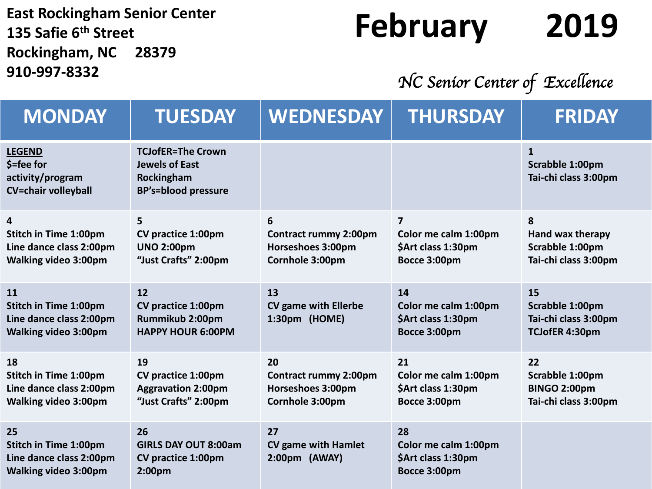**East Rockingham Senior Center 135 Safie 6th Street Rockingham, NC 28379 910-997-8332**

## **February 2019**

*NC Senior Center of Excellence* 

| <b>MONDAY</b>                                                                                | <b>TUESDAY</b>                                                                                | <b>WEDNESDAY</b>                                                           | <b>THURSDAY</b>                                                  | <b>FRIDAY</b>                                                        |
|----------------------------------------------------------------------------------------------|-----------------------------------------------------------------------------------------------|----------------------------------------------------------------------------|------------------------------------------------------------------|----------------------------------------------------------------------|
| <b>LEGEND</b><br>$$ =$ fee for<br>activity/program<br><b>CV=chair volleyball</b>             | <b>TCJofER=The Crown</b><br><b>Jewels of East</b><br>Rockingham<br><b>BP's=blood pressure</b> |                                                                            |                                                                  | $\mathbf{1}$<br>Scrabble 1:00pm<br>Tai-chi class 3:00pm              |
| 4<br><b>Stitch in Time 1:00pm</b><br>Line dance class 2:00pm<br><b>Walking video 3:00pm</b>  | 5<br>CV practice 1:00pm<br><b>UNO 2:00pm</b><br>"Just Crafts" 2:00pm                          | 6<br><b>Contract rummy 2:00pm</b><br>Horseshoes 3:00pm<br>Cornhole 3:00pm  | 7<br>Color me calm 1:00pm<br>\$Art class 1:30pm<br>Bocce 3:00pm  | 8<br>Hand wax therapy<br>Scrabble 1:00pm<br>Tai-chi class 3:00pm     |
| 11<br><b>Stitch in Time 1:00pm</b><br>Line dance class 2:00pm<br><b>Walking video 3:00pm</b> | 12<br>CV practice 1:00pm<br>Rummikub 2:00pm<br><b>HAPPY HOUR 6:00PM</b>                       | 13<br><b>CV game with Ellerbe</b><br>1:30pm (HOME)                         | 14<br>Color me calm 1:00pm<br>\$Art class 1:30pm<br>Bocce 3:00pm | 15<br>Scrabble 1:00pm<br>Tai-chi class 3:00pm<br>TCJofER 4:30pm      |
| 18<br><b>Stitch in Time 1:00pm</b><br>Line dance class 2:00pm<br><b>Walking video 3:00pm</b> | 19<br>CV practice 1:00pm<br><b>Aggravation 2:00pm</b><br>"Just Crafts" 2:00pm                 | 20<br><b>Contract rummy 2:00pm</b><br>Horseshoes 3:00pm<br>Cornhole 3:00pm | 21<br>Color me calm 1:00pm<br>\$Art class 1:30pm<br>Bocce 3:00pm | 22<br>Scrabble 1:00pm<br><b>BINGO 2:00pm</b><br>Tai-chi class 3:00pm |
| 25<br><b>Stitch in Time 1:00pm</b><br>Line dance class 2:00pm<br><b>Walking video 3:00pm</b> | 26<br><b>GIRLS DAY OUT 8:00am</b><br>CV practice 1:00pm<br>2:00 <sub>pm</sub>                 | 27<br><b>CV game with Hamlet</b><br>2:00pm (AWAY)                          | 28<br>Color me calm 1:00pm<br>\$Art class 1:30pm<br>Bocce 3:00pm |                                                                      |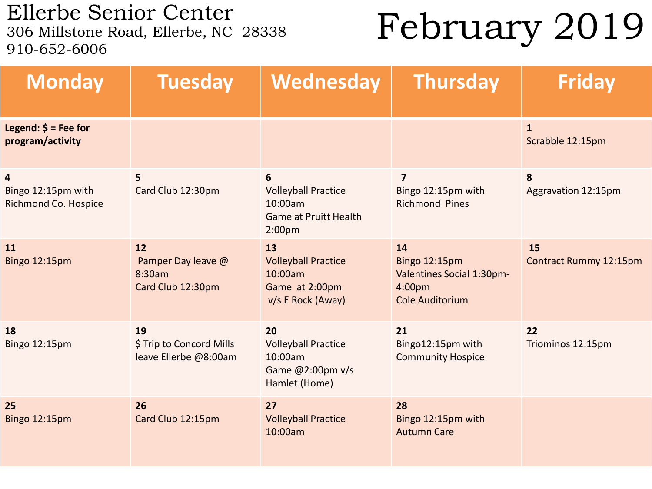Ellerbe Senior Center<br>306 Millstone Road, Ellerbe, NC 28338 910-652-6006

February 2019

| <b>Monday</b>                                                         | <b>Tuesday</b>                                          | Wednesday                                                                                        | <b>Thursday</b>                                                                             | <b>Friday</b>                    |
|-----------------------------------------------------------------------|---------------------------------------------------------|--------------------------------------------------------------------------------------------------|---------------------------------------------------------------------------------------------|----------------------------------|
| Legend: $\frac{1}{2}$ = Fee for<br>program/activity                   |                                                         |                                                                                                  |                                                                                             | $\mathbf{1}$<br>Scrabble 12:15pm |
| $\overline{\mathbf{4}}$<br>Bingo 12:15pm with<br>Richmond Co. Hospice | 5<br>Card Club 12:30pm                                  | 6<br><b>Volleyball Practice</b><br>10:00am<br><b>Game at Pruitt Health</b><br>2:00 <sub>pm</sub> | $\overline{7}$<br>Bingo 12:15pm with<br><b>Richmond Pines</b>                               | 8<br>Aggravation 12:15pm         |
| 11<br>Bingo 12:15pm                                                   | 12<br>Pamper Day leave @<br>8:30am<br>Card Club 12:30pm | 13<br><b>Volleyball Practice</b><br>10:00am<br>Game at 2:00pm<br>v/s E Rock (Away)               | 14<br><b>Bingo 12:15pm</b><br>Valentines Social 1:30pm-<br>4:00pm<br><b>Cole Auditorium</b> | 15<br>Contract Rummy 12:15pm     |
| 18<br>Bingo 12:15pm                                                   | 19<br>\$ Trip to Concord Mills<br>leave Ellerbe @8:00am | 20<br><b>Volleyball Practice</b><br>10:00am<br>Game @2:00pm v/s<br>Hamlet (Home)                 | 21<br>Bingo12:15pm with<br><b>Community Hospice</b>                                         | 22<br>Triominos 12:15pm          |
| 25<br>Bingo 12:15pm                                                   | 26<br>Card Club 12:15pm                                 | 27<br><b>Volleyball Practice</b><br>10:00am                                                      | 28<br>Bingo 12:15pm with<br><b>Autumn Care</b>                                              |                                  |